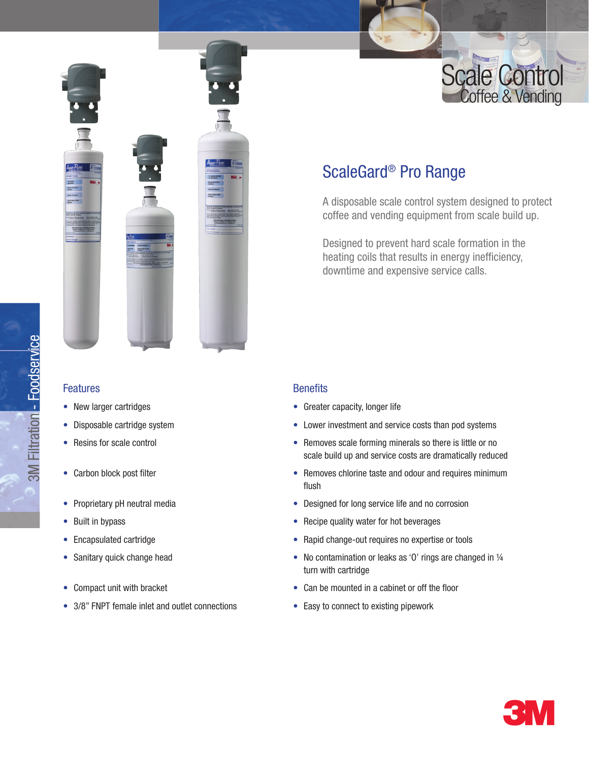



## Features

- New larger cartridges
- Disposable cartridge system
- Resins for scale control
- Carbon block post filter
- Proprietary pH neutral media
- Built in bypass
- Encapsulated cartridge
- Sanitary quick change head
- Compact unit with bracket
- 3/8" FNPT female inlet and outlet connections

# ScaleGard® Pro Range

A disposable scale control system designed to protect coffee and vending equipment from scale build up.

Designed to prevent hard scale formation in the heating coils that results in energy inefficiency, downtime and expensive service calls.

## **Benefits**

- Greater capacity, longer life
- Lower investment and service costs than pod systems
- Removes scale forming minerals so there is little or no scale build up and service costs are dramatically reduced
- Removes chlorine taste and odour and requires minimum flush
- Designed for long service life and no corrosion
- Recipe quality water for hot beverages
- Rapid change-out requires no expertise or tools
- No contamination or leaks as 'O' rings are changed in 1/4 turn with cartridge
- Can be mounted in a cabinet or off the floor
- Easy to connect to existing pipework



ابه